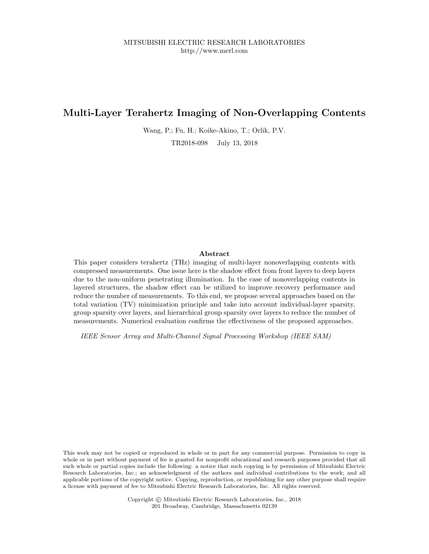# Multi-Layer Terahertz Imaging of Non-Overlapping Contents

Wang, P.; Fu, H.; Koike-Akino, T.; Orlik, P.V.

TR2018-098 July 13, 2018

# Abstract

This paper considers terahertz (THz) imaging of multi-layer nonoverlapping contents with compressed measurements. One issue here is the shadow effect from front layers to deep layers due to the non-uniform penetrating illumination. In the case of nonoverlapping contents in layered structures, the shadow effect can be utilized to improve recovery performance and reduce the number of measurements. To this end, we propose several approaches based on the total variation (TV) minimization principle and take into account individual-layer sparsity, group sparsity over layers, and hierarchical group sparsity over layers to reduce the number of measurements. Numerical evaluation confirms the effectiveness of the proposed approaches.

IEEE Sensor Array and Multi-Channel Signal Processing Workshop (IEEE SAM)

This work may not be copied or reproduced in whole or in part for any commercial purpose. Permission to copy in whole or in part without payment of fee is granted for nonprofit educational and research purposes provided that all such whole or partial copies include the following: a notice that such copying is by permission of Mitsubishi Electric Research Laboratories, Inc.; an acknowledgment of the authors and individual contributions to the work; and all applicable portions of the copyright notice. Copying, reproduction, or republishing for any other purpose shall require a license with payment of fee to Mitsubishi Electric Research Laboratories, Inc. All rights reserved.

> Copyright © Mitsubishi Electric Research Laboratories, Inc., 2018 201 Broadway, Cambridge, Massachusetts 02139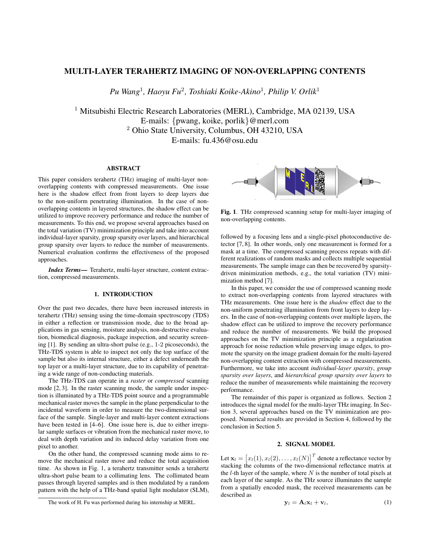# MULTI-LAYER TERAHERTZ IMAGING OF NON-OVERLAPPING CONTENTS

*Pu Wang*<sup>1</sup> *, Haoyu Fu*<sup>2</sup> *, Toshiaki Koike-Akino*<sup>1</sup> *, Philip V. Orlik*<sup>1</sup>

<sup>1</sup> Mitsubishi Electric Research Laboratories (MERL), Cambridge, MA 02139, USA E-mails: {pwang, koike, porlik}@merl.com <sup>2</sup> Ohio State University, Columbus, OH 43210, USA E-mails: fu.436@osu.edu

## ABSTRACT

This paper considers terahertz (THz) imaging of multi-layer nonoverlapping contents with compressed measurements. One issue here is the shadow effect from front layers to deep layers due to the non-uniform penetrating illumination. In the case of nonoverlapping contents in layered structures, the shadow effect can be utilized to improve recovery performance and reduce the number of measurements. To this end, we propose several approaches based on the total variation (TV) minimization principle and take into account individual-layer sparsity, group sparsity over layers, and hierarchical group sparsity over layers to reduce the number of measurements. Numerical evaluation confirms the effectiveness of the proposed approaches.

*Index Terms*— Terahertz, multi-layer structure, content extraction, compressed measurements.

#### 1. INTRODUCTION

Over the past two decades, there have been increased interests in terahertz (THz) sensing using the time-domain spectroscopy (TDS) in either a reflection or transmission mode, due to the broad applications in gas sensing, moisture analysis, non-destructive evaluation, biomedical diagnosis, package inspection, and security screening [1]. By sending an ultra-short pulse (e.g., 1-2 picoseconds), the THz-TDS system is able to inspect not only the top surface of the sample but also its internal structure, either a defect underneath the top layer or a multi-layer structure, due to its capability of penetrating a wide range of non-conducting materials.

The THz-TDS can operate in a *raster* or *compressed* scanning mode [2, 3]. In the raster scanning mode, the sample under inspection is illuminated by a THz-TDS point source and a programmable mechanical raster moves the sample in the plane perpendicular to the incidental waveform in order to measure the two-dimensional surface of the sample. Single-layer and multi-layer content extractions have been tested in [4–6]. One issue here is, due to either irregular sample surfaces or vibration from the mechanical raster move, to deal with depth variation and its induced delay variation from one pixel to another.

On the other hand, the compressed scanning mode aims to remove the mechanical raster move and reduce the total acquisition time. As shown in Fig. 1, a terahertz transmitter sends a terahertz ultra-short pulse beam to a collimating lens. The collimated beam passes through layered samples and is then modulated by a random pattern with the help of a THz-band spatial light modulator (SLM),



Fig. 1. THz compressed scanning setup for multi-layer imaging of non-overlapping contents.

followed by a focusing lens and a single-pixel photoconductive detector [7, 8]. In other words, only one measurement is formed for a mask at a time. The compressed scanning process repeats with different realizations of random masks and collects multiple sequential measurements. The sample image can then be recovered by sparsitydriven minimization methods, e.g., the total variation (TV) minimization method [7].

In this paper, we consider the use of compressed scanning mode to extract non-overlapping contents from layered structures with THz measurements. One issue here is the *shadow* effect due to the non-uniform penetrating illumination from front layers to deep layers. In the case of non-overlapping contents over multiple layers, the shadow effect can be utilized to improve the recovery performance and reduce the number of measurements. We build the proposed approaches on the TV minimization principle as a regularization approach for noise reduction while preserving image edges, to promote the sparsity on the image gradient domain for the multi-layered non-overlapping content extraction with compressed measurements. Furthermore, we take into account *individual-layer sparsity*, *group sparsity over layers*, and *hierarchical group sparsity over layers* to reduce the number of measurements while maintaining the recovery performance.

The remainder of this paper is organized as follows. Section 2 introduces the signal model for the multi-layer THz imaging. In Section 3, several approaches based on the TV minimization are proposed. Numerical results are provided in Section 4, followed by the conclusion in Section 5.

# 2. SIGNAL MODEL

Let  $\mathbf{x}_l = \left[x_l(1), x_l(2), \ldots, x_l(N)\right]^T$  denote a reflectance vector by stacking the columns of the two-dimensional reflectance matrix at the  $l$ -th layer of the sample, where  $N$  is the number of total pixels at each layer of the sample. As the THz source illuminates the sample from a spatially encoded mask, the received measurements can be described as

$$
\mathbf{y}_l = \mathbf{A}_l \mathbf{x}_l + \mathbf{v}_l, \tag{1}
$$

The work of H. Fu was performed during his internship at MERL.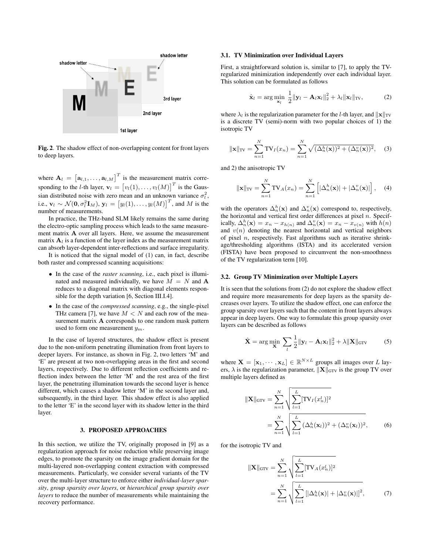

Fig. 2. The shadow effect of non-overlapping content for front layers to deep layers.

where  $A_l = [a_{l,1}, \dots, a_{l,M}]^T$  is the measurement matrix corresponding to the *l*-th layer,  $\mathbf{v}_l = [v_l(1), \dots, v_l(M)]^T$  is the Gaussian distributed noise with zero mean and an unknown variance  $\sigma_l^2$ , i.e.,  $\mathbf{v}_l \sim \mathcal{N}(\mathbf{0}, \sigma_l^2 \mathbf{I}_M), \mathbf{y}_l = \left[y_l(1), \ldots, y_l(M)\right]^T$ , and M is the number of measurements.

In practice, the THz-band SLM likely remains the same during the electro-optic sampling process which leads to the same measurement matrix A over all layers. Here, we assume the measurement matrix  $A_i$  is a function of the layer index as the measurement matrix can absorb layer-dependent inter-reflections and surface irregularity.

It is noticed that the signal model of (1) can, in fact, describe both raster and compressed scanning acquisitions:

- In the case of the *raster scanning*, i.e., each pixel is illuminated and measured individually, we have  $M = N$  and A reduces to a diagonal matrix with diagonal elements responsible for the depth variation [6, Section III.I.4].
- In the case of the *compressed scanning*, e.g., the single-pixel THz camera [7], we have  $M < N$  and each row of the measurement matrix A corresponds to one random mask pattern used to form one measurement  $y_m$ .

In the case of layered structures, the shadow effect is present due to the non-uniform penetrating illumination from front layers to deeper layers. For instance, as shown in Fig. 2, two letters 'M' and 'E' are present at two non-overlapping areas in the first and second layers, respectively. Due to different reflection coefficients and reflection index between the letter 'M' and the rest area of the first layer, the penetrating illumination towards the second layer is hence different, which causes a shadow letter 'M' in the second layer and, subsequently, in the third layer. This shadow effect is also applied to the letter 'E' in the second layer with its shadow letter in the third layer.

# 3. PROPOSED APPROACHES

In this section, we utilize the TV, originally proposed in [9] as a regularization approach for noise reduction while preserving image edges, to promote the sparsity on the image gradient domain for the multi-layered non-overlapping content extraction with compressed measurements. Particularly, we consider several variants of the TV over the multi-layer structure to enforce either *individual-layer sparsity*, *group sparsity over layers*, or *hierarchical group sparsity over layers* to reduce the number of measurements while maintaining the recovery performance.

#### 3.1. TV Minimization over Individual Layers

First, a straightforward solution is, similar to [7], to apply the TVregularized minimization independently over each individual layer. This solution can be formulated as follows

$$
\hat{\mathbf{x}}_l = \arg\min_{\mathbf{x}_l} \frac{1}{2} \|\mathbf{y}_l - \mathbf{A}_l \mathbf{x}_l\|_2^2 + \lambda_l \|\mathbf{x}_l\|_{\text{TV}},\tag{2}
$$

where  $\lambda_l$  is the regularization parameter for the *l*-th layer, and  $||\mathbf{x}||_{TV}$ is a discrete TV (semi)-norm with two popular choices of 1) the isotropic TV

$$
\|\mathbf{x}\|_{\text{TV}} = \sum_{n=1}^{N} \text{TV}_I(x_n) = \sum_{n=1}^{N} \sqrt{(\Delta_n^h(\mathbf{x}))^2 + (\Delta_n^v(\mathbf{x}))^2}, \quad (3)
$$

and 2) the anisotropic TV

$$
\|\mathbf{x}\|_{\text{TV}} = \sum_{n=1}^{N} \text{TV}_A(x_n) = \sum_{n=1}^{N} \left[ |\Delta_n^h(\mathbf{x})| + |\Delta_n^v(\mathbf{x})| \right], \quad (4)
$$

with the operators  $\Delta_n^h(\mathbf{x})$  and  $\Delta_n^v(\mathbf{x})$  correspond to, respectively, the horizontal and vertical first order differences at pixel  $n$ . Specifically,  $\Delta_n^h(\mathbf{x}) = x_n - x_{h(n)}$  and  $\Delta_n^v(\mathbf{x}) = x_n - x_{v(n)}$  with  $h(n)$ and  $v(n)$  denoting the nearest horizontal and vertical neighbors of pixel  $n$ , respectively. Fast algorithms such as iterative shrinkage/thresholding algorithms (ISTA) and its accelerated version (FISTA) have been proposed to circumvent the non-smoothness of the TV regularization term [10].

## 3.2. Group TV Minimization over Multiple Layers

It is seen that the solutions from (2) do not explore the shadow effect and require more measurements for deep layers as the sparsity decreases over layers. To utilize the shadow effect, one can enforce the group sparsity over layers such that the content in front layers always appear in deep layers. One way to formulate this group sparsity over layers can be described as follows

$$
\hat{\mathbf{X}} = \arg\min_{\mathbf{X}} \ \sum_{l} \frac{1}{2} ||\mathbf{y}_{l} - \mathbf{A}_{l} \mathbf{x}_{l}||_{2}^{2} + \lambda ||\mathbf{X}||_{\text{GTV}}
$$
(5)

where  $\mathbf{X} = [\mathbf{x}_1, \cdots, \mathbf{x}_L] \in \mathbb{R}^{N \times L}$  groups all images over L layers,  $\lambda$  is the regularization parameter,  $\|\mathbf{X}\|_{\text{GTV}}$  is the group TV over multiple layers defined as

$$
\|\mathbf{X}\|_{\text{GTV}} = \sum_{n=1}^{N} \sqrt{\sum_{l=1}^{L} [\text{TV}_I(x_n^l)]^2}
$$
  
= 
$$
\sum_{n=1}^{N} \sqrt{\sum_{l=1}^{L} (\Delta_n^h(\mathbf{x}_l))^2 + (\Delta_n^v(\mathbf{x}_l))^2},
$$
 (6)

for the isotropic TV and

$$
\|\mathbf{X}\|_{\text{GTV}} = \sum_{n=1}^{N} \sqrt{\sum_{l=1}^{L} [\text{TV}_A(x_n^l)]^2}
$$

$$
= \sum_{n=1}^{N} \sqrt{\sum_{l=1}^{L} [|\Delta_n^h(\mathbf{x})| + |\Delta_n^v(\mathbf{x})|]^2}, \qquad (7)
$$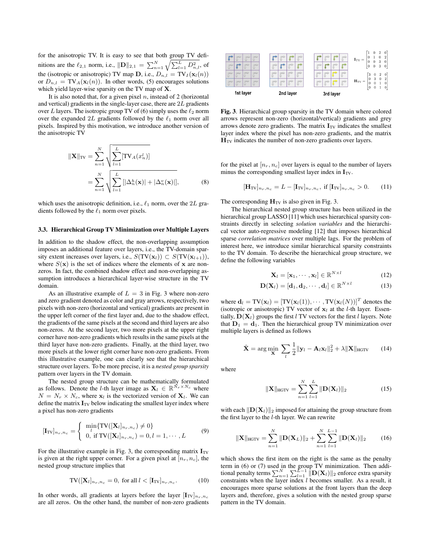for the anisotropic TV. It is easy to see that both group TV definitions are the  $\ell_{2,1}$  norm, i.e.,  $\|\mathbf{D}\|_{2,1} = \sum_{n=1}^{N} \sqrt{\sum_{l=1}^{L} D_{n,l}^2}$ , of the (isotropic or anisotropic) TV map **D**, i.e.,  $D_{n,l} = \text{TV}_I(\mathbf{x}_l(n))$ or  $D_{n,l} = TV_A(\mathbf{x}_l(n))$ . In other words, (5) encourages solutions which yield layer-wise sparsity on the TV map of X.

It is also noted that, for a given pixel  $n$ , instead of 2 (horizontal and vertical) gradients in the single-layer case, there are 2L gradients over L layers. The isotropic group TV of (6) simply uses the  $\ell_2$  norm over the expanded  $2L$  gradients followed by the  $\ell_1$  norm over all pixels. Inspired by this motivation, we introduce another version of the anisotropic TV

$$
\|\mathbf{X}\|_{\text{TV}} = \sum_{n=1}^{N} \sqrt{\sum_{l=1}^{L} [\text{TV}_A(x_n^l)]}
$$

$$
= \sum_{n=1}^{N} \sqrt{\sum_{l=1}^{L} [|\Delta_n^h(\mathbf{x})| + |\Delta_n^v(\mathbf{x})|]},
$$
(8)

which uses the anisotropic definition, i.e.,  $\ell_1$  norm, over the 2L gradients followed by the  $\ell_1$  norm over pixels.

### 3.3. Hierarchical Group TV Minimization over Multiple Layers

In addition to the shadow effect, the non-overlapping assumption imposes an additional feature over layers, i.e., the TV-domain sparsity extent increases over layers, i.e.,  $S(TV(\mathbf{x}_l)) \subset S(TV(\mathbf{x}_{l+1})),$ where  $S(\mathbf{x})$  is the set of indices where the elements of x are nonzeros. In fact, the combined shadow effect and non-overlapping assumption introduces a hierarchical layer-wise structure in the TV domain.

As an illustrative example of  $L = 3$  in Fig. 3 where non-zero and zero gradient denoted as color and gray arrows, respectively, two pixels with non-zero (horizontal and vertical) gradients are present in the upper left corner of the first layer and, due to the shadow effect, the gradients of the same pixels at the second and third layers are also non-zeros. At the second layer, two more pixels at the upper right corner have non-zero gradients which results in the same pixels at the third layer have non-zero gradients. Finally, at the third layer, two more pixels at the lower right corner have non-zero gradients. From this illustrative example, one can clearly see that the hierarchical structure over layers. To be more precise, it is a *nested group sparsity* pattern over layers in the TV domain.

The nested group structure can be mathematically formulated as follows. Denote the l-th layer image as  $\mathbf{X}_l \in \mathbb{R}^{N_r \times N_c}$  where  $N = N_r \times N_c$ , where  $\mathbf{x}_l$  is the vectorized version of  $\mathbf{X}_l$ . We can define the matrix  $\mathbf{I}_{TV}$  below indicating the smallest layer index where a pixel has non-zero gradients

$$
[\mathbf{I}_{\text{TV}}]_{n_r, n_c} = \begin{cases} \min_l \{ \text{TV}([\mathbf{X}_l]_{n_r, n_c}) \neq 0 \} \\ 0, \text{ if } \text{TV}([\mathbf{X}_l]_{n_r, n_c}) = 0, l = 1, \cdots, L \end{cases}
$$
(9)

For the illustrative example in Fig. 3, the corresponding matrix  $\mathbf{I}_{TV}$ is given at the right upper corner. For a given pixel at  $[n_r, n_c]$ , the nested group structure implies that

$$
\text{TV}([\mathbf{X}_l]_{n_r, n_c} = 0, \text{ for all } l < [\mathbf{I}_{\text{TV}}]_{n_r, n_c}.\tag{10}
$$

In other words, all gradients at layers before the layer  $[I_{TV}]_{n_r,n_c}$ are all zeros. On the other hand, the number of non-zero gradients



Fig. 3. Hierarchical group sparsity in the TV domain where colored arrows represent non-zero (horizontal/vertical) gradients and grey arrows denote zero gradients. The matrix  $\mathbf{I}_{TV}$  indicates the smallest layer index where the pixel has non-zero gradients, and the matrix  $H_{TV}$  indicates the number of non-zero gradients over layers.

for the pixel at  $[n_r, n_c]$  over layers is equal to the number of layers minus the corresponding smallest layer index in  $I_{TV}$ .

$$
[\mathbf{H}_{\text{TV}}]_{n_r, n_c} = L - [\mathbf{I}_{\text{TV}}]_{n_r, n_c}, \text{ if } [\mathbf{I}_{\text{TV}}]_{n_r, n_c} > 0. \tag{11}
$$

The corresponding  $H_{TV}$  is also given in Fig. 3.

The hierarchical nested group structure has been utilized in the hierarchical group LASSO [11] which uses hierarchical sparsity constraints directly in selecting *solution variables* and the hierarchical vector auto-regressive modeling [12] that imposes hierarchical sparse *correlation matrices* over multiple lags. For the problem of interest here, we introduce similar hierarchical sparsity constraints to the TV domain. To describe the hierarchical group structure, we define the following variables

$$
\mathbf{X}_{l} = [\mathbf{x}_{1}, \cdots, \mathbf{x}_{l}] \in \mathbb{R}^{N \times l}
$$
 (12)

N×l

$$
\mathbf{D}(\mathbf{X}_l) = [\mathbf{d}_1, \mathbf{d}_2, \cdots, \mathbf{d}_l] \in \mathbb{R}^{N \times l}
$$
 (13)

where  $\mathbf{d}_l = TV(\mathbf{x}_l) = [TV(\mathbf{x}_l(1)), \cdots, TV(\mathbf{x}_l(N))]^T$  denotes the (isotropic or anisotropic) TV vector of  $x_l$  at the *l*-th layer. Essentially,  $\mathbf{D}(\mathbf{X}_l)$  groups the first l TV vectors for the first l layers. Note that  $D_1 = d_1$ . Then the hierarchical group TV minimization over multiple layers is defined as follows

$$
\hat{\mathbf{X}} = \arg\min_{\mathbf{X}} \ \sum_{l} \frac{1}{2} ||\mathbf{y}_{l} - \mathbf{A}_{l} \mathbf{x}_{l}||_{2}^{2} + \lambda ||\mathbf{X}||_{\text{HGTV}} \qquad (14)
$$

where

$$
\|\mathbf{X}\|_{\text{HGTV}} = \sum_{n=1}^{N} \sum_{l=1}^{L} \|\mathbf{D}(\mathbf{X}_l)\|_2
$$
 (15)

with each  $\Vert \mathbf{D}(\mathbf{X}_l) \Vert_2$  imposed for attaining the group structure from the first layer to the l-th layer. We can rewrite

$$
\|\mathbf{X}\|_{\text{HGTV}} = \sum_{n=1}^{N} \|\mathbf{D}(\mathbf{X}_L)\|_2 + \sum_{n=1}^{N} \sum_{l=1}^{L-1} \|\mathbf{D}(\mathbf{X}_l)\|_2 \qquad (16)
$$

which shows the first item on the right is the same as the penalty term in (6) or (7) used in the group TV minimization. Then additional penalty terms  $\sum_{n=1}^N\sum_{l=1}^{\tilde{L}-1}\|\mathbf{D}(\mathbf{X}_l)\|_2$  enforce extra sparsity constraints when the layer index  $l$  becomes smaller. As a result, it encourages more sparse solutions at the front layers than the deep layers and, therefore, gives a solution with the nested group sparse pattern in the TV domain.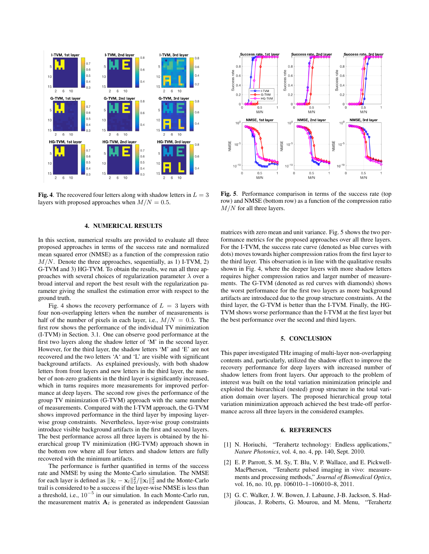

Fig. 4. The recovered four letters along with shadow letters in  $L = 3$ layers with proposed approaches when  $M/N = 0.5$ .

#### 4. NUMERICAL RESULTS

In this section, numerical results are provided to evaluate all three proposed approaches in terms of the success rate and normalized mean squared error (NMSE) as a function of the compression ratio  $M/N$ . Denote the three approaches, sequentially, as 1) I-TVM, 2) G-TVM and 3) HG-TVM. To obtain the results, we run all three approaches with several choices of regularization parameter  $\lambda$  over a broad interval and report the best result with the regularization parameter giving the smallest the estimation error with respect to the ground truth.

Fig. 4 shows the recovery performance of  $L = 3$  layers with four non-overlapping letters when the number of measurements is half of the number of pixels in each layer, i.e.,  $M/N = 0.5$ . The first row shows the performance of the individual TV minimization (I-TVM) in Section. 3.1. One can observe good performance at the first two layers along the shadow letter of 'M' in the second layer. However, for the third layer, the shadow letters 'M' and 'E' are not recovered and the two letters 'A' and 'L' are visible with significant background artifacts. As explained previously, with both shadow letters from front layers and new letters in the third layer, the number of non-zero gradients in the third layer is significantly increased, which in turns requires more measurements for improved performance at deep layers. The second row gives the performance of the group TV minimization (G-TVM) approach with the same number of measurements. Compared with the I-TVM approach, the G-TVM shows improved performance in the third layer by imposing layerwise group constraints. Nevertheless, layer-wise group constraints introduce visible background artifacts in the first and second layers. The best performance across all three layers is obtained by the hierarchical group TV minimization (HG-TVM) approach shown in the bottom row where all four letters and shadow letters are fully recovered with the minimum artifacts.

The performance is further quantified in terms of the success rate and NMSE by using the Monte-Carlo simulation. The NMSE for each layer is defined as  $\|\hat{\mathbf{x}}_l - \mathbf{x}_l\|_2^2 / \|\mathbf{x}_l\|_2^2$  and the Monte-Carlo trail is considered to be a success if the layer-wise NMSE is less than a threshold, i.e.,  $10^{-5}$  in our simulation. In each Monte-Carlo run, the measurement matrix  $A_l$  is generated as independent Gaussian



Fig. 5. Performance comparison in terms of the success rate (top row) and NMSE (bottom row) as a function of the compression ratio  $M/N$  for all three layers.

matrices with zero mean and unit variance. Fig. 5 shows the two performance metrics for the proposed approaches over all three layers. For the I-TVM, the success rate curve (denoted as blue curves with dots) moves towards higher compression ratios from the first layer to the third layer. This observation is in line with the qualitative results shown in Fig. 4, where the deeper layers with more shadow letters requires higher compression ratios and larger number of measurements. The G-TVM (denoted as red curves with diamonds) shows the worst performance for the first two layers as more background artifacts are introduced due to the group structure constraints. At the third layer, the G-TVM is better than the I-TVM. Finally, the HG-TVM shows worse performance than the I-TVM at the first layer but the best performance over the second and third layers.

## 5. CONCLUSION

This paper investigated THz imaging of multi-layer non-overlapping contents and, particularly, utilized the shadow effect to improve the recovery performance for deep layers with increased number of shadow letters from front layers. Our approach to the problem of interest was built on the total variation minimization principle and exploited the hierarchical (nested) group structure in the total variation domain over layers. The proposed hierarchical group total variation minimization approach achieved the best trade-off performance across all three layers in the considered examples.

#### 6. REFERENCES

- [1] N. Horiuchi, "Terahertz technology: Endless applications," *Nature Photonics*, vol. 4, no. 4, pp. 140, Sept. 2010.
- [2] E. P. Parrott, S. M. Sy, T. Blu, V. P. Wallace, and E. Pickwell-MacPherson, "Terahertz pulsed imaging in vivo: measurements and processing methods," *Journal of Biomedical Optics*, vol. 16, no. 10, pp. 106010–1–106010–8, 2011.
- [3] G. C. Walker, J. W. Bowen, J. Labaune, J-B. Jackson, S. Hadjiloucas, J. Roberts, G. Mourou, and M. Menu, "Terahertz